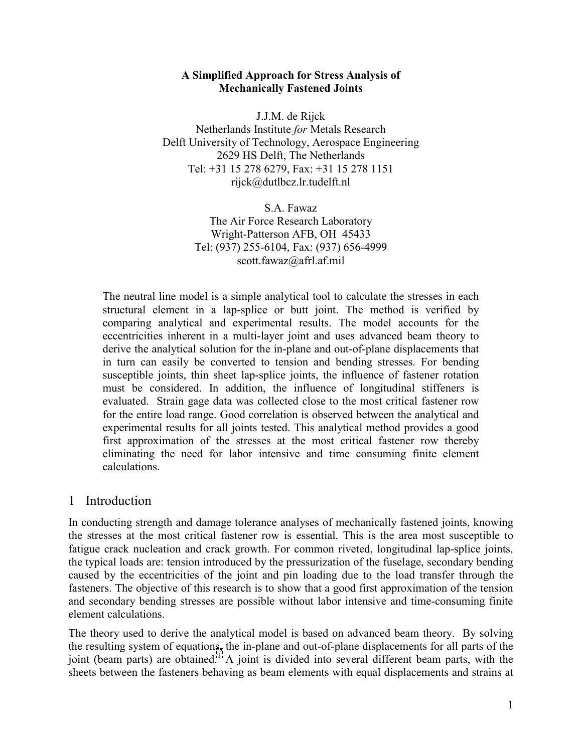#### **A Simplified Approach for Stress Analysis of Mechanically Fastened Joints**

J.J.M. de Rijck Netherlands Institute *for* Metals Research Delft University of Technology, Aerospace Engineering 2629 HS Delft, The Netherlands Tel: +31 15 278 6279, Fax: +31 15 278 1151 rijck@dutlbcz.lr.tudelft.nl

> S.A. Fawaz The Air Force Research Laboratory Wright-Patterson AFB, OH 45433 Tel: (937) 255-6104, Fax: (937) 656-4999 scott.fawaz@afrl.af.mil

The neutral line model is a simple analytical tool to calculate the stresses in each structural element in a lap-splice or butt joint. The method is verified by comparing analytical and experimental results. The model accounts for the eccentricities inherent in a multi-layer joint and uses advanced beam theory to derive the analytical solution for the in-plane and out-of-plane displacements that in turn can easily be converted to tension and bending stresses. For bending susceptible joints, thin sheet lap-splice joints, the influence of fastener rotation must be considered. In addition, the influence of longitudinal stiffeners is evaluated. Strain gage data was collected close to the most critical fastener row for the entire load range. Good correlation is observed between the analytical and experimental results for all joints tested. This analytical method provides a good first approximation of the stresses at the most critical fastener row thereby eliminating the need for labor intensive and time consuming finite element calculations.

## 1 Introduction

In conducting strength and damage tolerance analyses of mechanically fastened joints, knowing the stresses at the most critical fastener row is essential. This is the area most susceptible to fatigue crack nucleation and crack growth. For common riveted, longitudinal lap-splice joints, the typical loads are: tension introduced by the pressurization of the fuselage, secondary bending caused by the eccentricities of the joint and pin loading due to the load transfer through the fasteners. The objective of this research is to show that a good first approximation of the tension and secondary bending stresses are possible without labor intensive and time-consuming finite element calculations.

The theory used to derive the analytical model is based on advanced beam theory. By solving the resulting system of equations, the in-plane and out-of-plane displacements for all parts of the joint (beam parts) are obtained.<sup>1</sup> A joint is divided into several different beam parts, with the sheets between the fasteners behaving as beam elements with equal displacements and strains at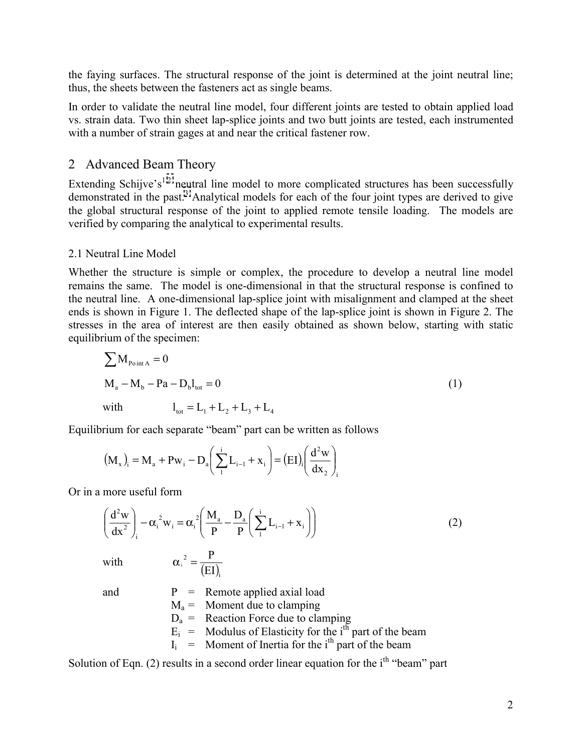the faying surfaces. The structural response of the joint is determined at the joint neutral line; thus, the sheets between the fasteners act as single beams.

In order to validate the neutral line model, four different joints are tested to obtain applied load vs. strain data. Two thin sheet lap-splice joints and two butt joints are tested, each instrumented with a number of strain gages at and near the critical fastener row.

# 2 Advanced Beam Theory

Extending Schijve's<sup>1,2</sup> neutral line model to more complicated structures has been successfully demonstrated in the past.<sup>3</sup> Analytical models for each of the four joint types are derived to give the global structural response of the joint to applied remote tensile loading. The models are verified by comparing the analytical to experimental results.

## 2.1 Neutral Line Model

Whether the structure is simple or complex, the procedure to develop a neutral line model remains the same. The model is one-dimensional in that the structural response is confined to the neutral line. A one-dimensional lap-splice joint with misalignment and clamped at the sheet ends is shown in Figure 1. The deflected shape of the lap-splice joint is shown in Figure 2. The stresses in the area of interest are then easily obtained as shown below, starting with static equilibrium of the specimen:

$$
\sum M_{\text{Point A}} = 0
$$
  
\n
$$
M_a - M_b - Pa - D_b l_{\text{tot}} = 0
$$
  
\nwith 
$$
l_{\text{tot}} = L_1 + L_2 + L_3 + L_4
$$
 (1)

Equilibrium for each separate "beam" part can be written as follows

$$
(M_x)_i = M_a + Pw_i - D_a \left(\sum_{1}^{i} L_{i-1} + x_i\right) = (EI)_i \left(\frac{d^2 w}{dx_2}\right)_i
$$

Or in a more useful form

$$
\left(\frac{d^2 w}{dx^2}\right)_i - \alpha_i^2 w_i = \alpha_i^2 \left(\frac{M_a}{P} - \frac{D_a}{P} \left(\sum_{i=1}^i L_{i-1} + x_i\right)\right)
$$
(2)

with  $\alpha_i^2 = \frac{P}{(EI)_i}$ EI  $\alpha_i^2 = \frac{P}{\sqrt{P}}$ 

and  $P =$  Remote applied axial load

 $M_a$  = Moment due to clamping  $D_a$  = Reaction Force due to clamping  $E_i$  = Modulus of Elasticity for the i<sup>th</sup> part of the beam  $I_i$  = Moment of Inertia for the i<sup>th</sup> part of the beam

Solution of Eqn. (2) results in a second order linear equation for the  $i<sup>th</sup>$  "beam" part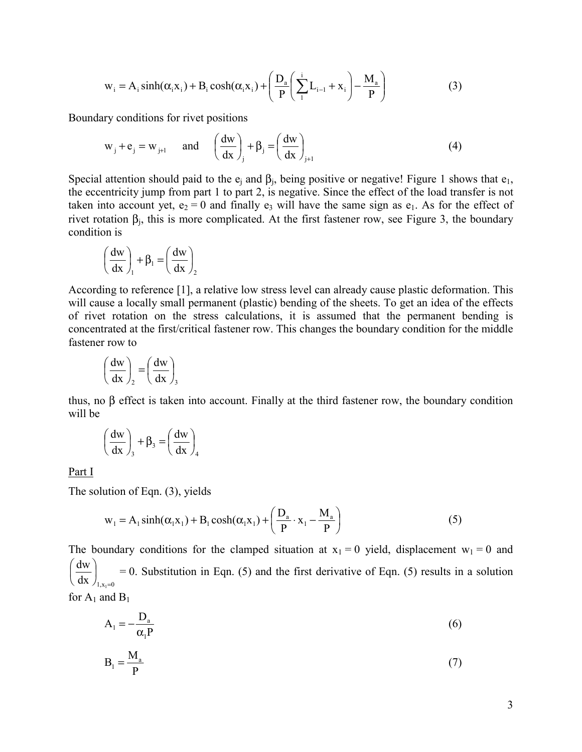$$
w_i = A_i \sinh(\alpha_i x_i) + B_i \cosh(\alpha_i x_i) + \left(\frac{D_a}{P} \left(\sum_{i=1}^{i} L_{i-1} + x_i\right) - \frac{M_a}{P}\right)
$$
(3)

Boundary conditions for rivet positions

$$
w_j + e_j = w_{j+1}
$$
 and  $\left(\frac{dw}{dx}\right)_j + \beta_j = \left(\frac{dw}{dx}\right)_{j+1}$  (4)

Special attention should paid to the  $e_i$  and  $\beta_i$ , being positive or negative! Figure 1 shows that  $e_1$ , the eccentricity jump from part 1 to part 2, is negative. Since the effect of the load transfer is not taken into account yet,  $e_2 = 0$  and finally  $e_3$  will have the same sign as  $e_1$ . As for the effect of rivet rotation  $β<sub>i</sub>$ , this is more complicated. At the first fastener row, see Figure 3, the boundary condition is

$$
\left(\frac{dw}{dx}\right)_1 + \beta_1 = \left(\frac{dw}{dx}\right)_2
$$

According to reference [1], a relative low stress level can already cause plastic deformation. This will cause a locally small permanent (plastic) bending of the sheets. To get an idea of the effects of rivet rotation on the stress calculations, it is assumed that the permanent bending is concentrated at the first/critical fastener row. This changes the boundary condition for the middle fastener row to

$$
\left(\frac{\mathrm{d}w}{\mathrm{d}x}\right)_2 = \left(\frac{\mathrm{d}w}{\mathrm{d}x}\right)_3
$$

thus, no β effect is taken into account. Finally at the third fastener row, the boundary condition will be

$$
\left(\frac{dw}{dx}\right)_3 + \beta_3 = \left(\frac{dw}{dx}\right)_4
$$

Part I

The solution of Eqn. (3), yields

$$
w_1 = A_1 \sinh(\alpha_1 x_1) + B_1 \cosh(\alpha_1 x_1) + \left(\frac{D_a}{P} \cdot x_1 - \frac{M_a}{P}\right)
$$
 (5)

The boundary conditions for the clamped situation at  $x_1 = 0$  yield, displacement  $w_1 = 0$  and  $dx \int_{1, x_1 = 0}$ dw =  $\overline{\phantom{a}}$ J  $\left(\frac{dw}{dx}\right)$ l  $\left(\frac{dw}{dx}\right)$  = 0. Substitution in Eqn. (5) and the first derivative of Eqn. (5) results in a solution

for  $A_1$  and  $B_1$ 

$$
A_1 = -\frac{D_a}{\alpha_1 P} \tag{6}
$$

$$
B_1 = \frac{M_a}{P}
$$
 (7)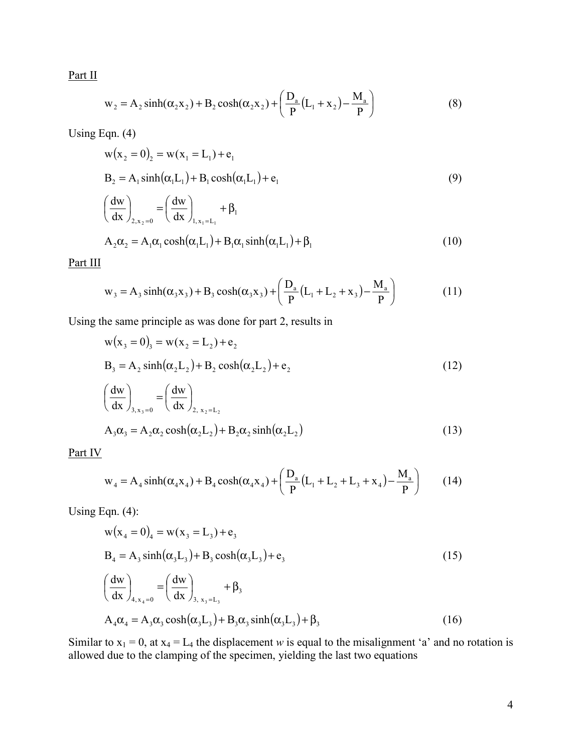Part II

$$
w_2 = A_2 \sinh(\alpha_2 x_2) + B_2 \cosh(\alpha_2 x_2) + \left(\frac{D_a}{P}(L_1 + x_2) - \frac{M_a}{P}\right)
$$
 (8)

Using Eqn. (4)

$$
w(x_2 = 0)_2 = w(x_1 = L_1) + e_1
$$
  
\n
$$
B_2 = A_1 \sinh(\alpha_1 L_1) + B_1 \cosh(\alpha_1 L_1) + e_1
$$
  
\n
$$
\left(\frac{dw}{dx}\right)_{2, x_2 = 0} = \left(\frac{dw}{dx}\right)_{1, x_1 = L_1} + \beta_1
$$
\n(9)

$$
A_2 \alpha_2 = A_1 \alpha_1 \cosh(\alpha_1 L_1) + B_1 \alpha_1 \sinh(\alpha_1 L_1) + \beta_1
$$
\n(10)

Part III

$$
w_3 = A_3 \sinh(\alpha_3 x_3) + B_3 \cosh(\alpha_3 x_3) + \left(\frac{D_a}{P} (L_1 + L_2 + x_3) - \frac{M_a}{P}\right)
$$
 (11)

Using the same principle as was done for part 2, results in

$$
w(x_3 = 0)_3 = w(x_2 = L_2) + e_2
$$
  
\n
$$
B_3 = A_2 \sinh(\alpha_2 L_2) + B_2 \cosh(\alpha_2 L_2) + e_2
$$
  
\n
$$
\left(\frac{dw}{dx}\right)_{3 \times z = 0} = \left(\frac{dw}{dx}\right)_{2 \times z = L_2}
$$
\n(12)

$$
\left(\frac{dx}{3}, \frac{1}{3}, \frac{1}{3} = 0 \right) \left(\frac{dx}{3}, \frac{1}{3} = 0\right)
$$
  
\n
$$
A_3 \alpha_3 = A_2 \alpha_2 \cosh(\alpha_2 L_2) + B_2 \alpha_2 \sinh(\alpha_2 L_2)
$$
\n(13)

Part IV

$$
w_4 = A_4 \sinh(\alpha_4 x_4) + B_4 \cosh(\alpha_4 x_4) + \left(\frac{D_a}{P}(L_1 + L_2 + L_3 + x_4) - \frac{M_a}{P}\right)
$$
 (14)

Using Eqn.  $(4)$ :

$$
w(x_4 = 0)_4 = w(x_3 = L_3) + e_3
$$
  
\n
$$
B_4 = A_3 \sinh(\alpha_3 L_3) + B_3 \cosh(\alpha_3 L_3) + e_3
$$
  
\n
$$
\left(\frac{dw}{dx}\right)_{4, x_4 = 0} = \left(\frac{dw}{dx}\right)_{3, x_3 = L_3} + \beta_3
$$
  
\n
$$
A_4 \alpha_4 = A_3 \alpha_3 \cosh(\alpha_3 L_3) + B_3 \alpha_3 \sinh(\alpha_3 L_3) + \beta_3
$$
\n(16)

Similar to  $x_1 = 0$ , at  $x_4 = L_4$  the displacement *w* is equal to the misalignment 'a' and no rotation is allowed due to the clamping of the specimen, yielding the last two equations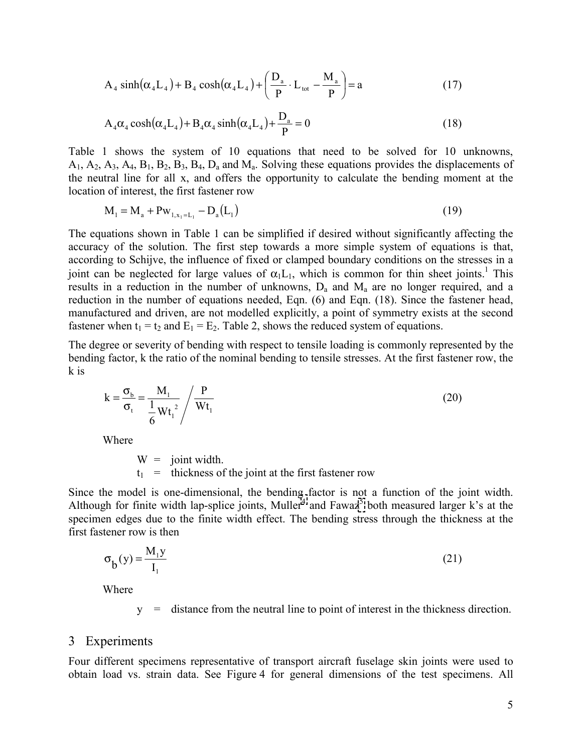$$
A_4 \sinh(\alpha_4 L_4) + B_4 \cosh(\alpha_4 L_4) + \left(\frac{D_a}{P} \cdot L_{\text{tot}} - \frac{M_a}{P}\right) = a \tag{17}
$$

$$
A_4\alpha_4 \cosh(\alpha_4 L_4) + B_4\alpha_4 \sinh(\alpha_4 L_4) + \frac{D_a}{P} = 0
$$
\n(18)

Table 1 shows the system of 10 equations that need to be solved for 10 unknowns,  $A_1$ ,  $A_2$ ,  $A_3$ ,  $A_4$ ,  $B_1$ ,  $B_2$ ,  $B_3$ ,  $B_4$ ,  $D_a$  and  $M_a$ . Solving these equations provides the displacements of the neutral line for all x, and offers the opportunity to calculate the bending moment at the location of interest, the first fastener row

$$
M_1 = M_a + P w_{1, x_1 = L_1} - D_a (L_1)
$$
\n(19)

The equations shown in Table 1 can be simplified if desired without significantly affecting the accuracy of the solution. The first step towards a more simple system of equations is that, according to Schijve, the influence of fixed or clamped boundary conditions on the stresses in a joint can be neglected for large values of  $\alpha_1L_1$ , which is common for thin sheet joints.<sup>1</sup> This results in a reduction in the number of unknowns,  $D_a$  and  $M_a$  are no longer required, and a reduction in the number of equations needed, Eqn. (6) and Eqn. (18). Since the fastener head, manufactured and driven, are not modelled explicitly, a point of symmetry exists at the second fastener when  $t_1 = t_2$  and  $E_1 = E_2$ . Table 2, shows the reduced system of equations.

The degree or severity of bending with respect to tensile loading is commonly represented by the bending factor, k the ratio of the nominal bending to tensile stresses. At the first fastener row, the k is

$$
k = \frac{\sigma_b}{\sigma_t} = \frac{M_1}{\frac{1}{6}Wt_1^2} / \frac{P}{Wt_1}
$$
\n(20)

Where

 $W =$  joint width.  $t_1$  = thickness of the joint at the first fastener row

Since the model is one-dimensional, the bending factor is not a function of the joint width. Although for finite width lap-splice joints, Muller<sup>[4](#page-7-0)</sup> and Fawaz<sup>[5](#page-5-0)</sup> both measured larger k's at the specimen edges due to the finite width effect. The bending stress through the thickness at the first fastener row is then

$$
\sigma_{\mathbf{b}}(\mathbf{y}) = \frac{\mathbf{M}_{1}\mathbf{y}}{\mathbf{I}_{1}} \tag{21}
$$

Where

y = distance from the neutral line to point of interest in the thickness direction.

#### 3 Experiments

Four different specimens representative of transport aircraft fuselage skin joints were used to obtain load vs. strain data. See Figure 4 for general dimensions of the test specimens. All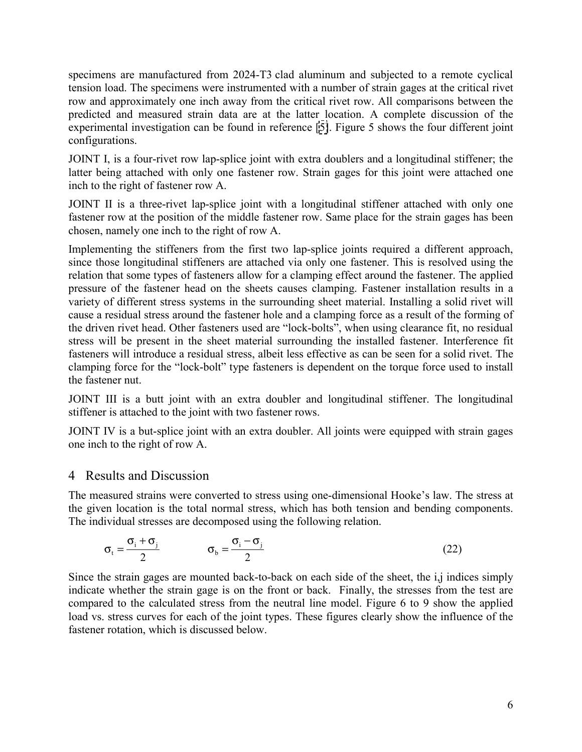<span id="page-5-0"></span>specimens are manufactured from 2024-T3 clad aluminum and subjected to a remote cyclical tension load. The specimens were instrumented with a number of strain gages at the critical rivet row and approximately one inch away from the critical rivet row. All comparisons between the predicted and measured strain data are at the latter location. A complete discussion of the experimental investigation can be found in reference [\[5\]](#page-7-0). Figure 5 shows the four different joint configurations.

JOINT I, is a four-rivet row lap-splice joint with extra doublers and a longitudinal stiffener; the latter being attached with only one fastener row. Strain gages for this joint were attached one inch to the right of fastener row A.

JOINT II is a three-rivet lap-splice joint with a longitudinal stiffener attached with only one fastener row at the position of the middle fastener row. Same place for the strain gages has been chosen, namely one inch to the right of row A.

Implementing the stiffeners from the first two lap-splice joints required a different approach, since those longitudinal stiffeners are attached via only one fastener. This is resolved using the relation that some types of fasteners allow for a clamping effect around the fastener. The applied pressure of the fastener head on the sheets causes clamping. Fastener installation results in a variety of different stress systems in the surrounding sheet material. Installing a solid rivet will cause a residual stress around the fastener hole and a clamping force as a result of the forming of the driven rivet head. Other fasteners used are "lock-bolts", when using clearance fit, no residual stress will be present in the sheet material surrounding the installed fastener. Interference fit fasteners will introduce a residual stress, albeit less effective as can be seen for a solid rivet. The clamping force for the "lock-bolt" type fasteners is dependent on the torque force used to install the fastener nut.

JOINT III is a butt joint with an extra doubler and longitudinal stiffener. The longitudinal stiffener is attached to the joint with two fastener rows.

JOINT IV is a but-splice joint with an extra doubler. All joints were equipped with strain gages one inch to the right of row A.

# 4 Results and Discussion

The measured strains were converted to stress using one-dimensional Hooke's law. The stress at the given location is the total normal stress, which has both tension and bending components. The individual stresses are decomposed using the following relation.

$$
\sigma_{t} = \frac{\sigma_{i} + \sigma_{j}}{2} \qquad \qquad \sigma_{b} = \frac{\sigma_{i} - \sigma_{j}}{2}
$$
 (22)

Since the strain gages are mounted back-to-back on each side of the sheet, the i,j indices simply indicate whether the strain gage is on the front or back. Finally, the stresses from the test are compared to the calculated stress from the neutral line model. Figure 6 to 9 show the applied load vs. stress curves for each of the joint types. These figures clearly show the influence of the fastener rotation, which is discussed below.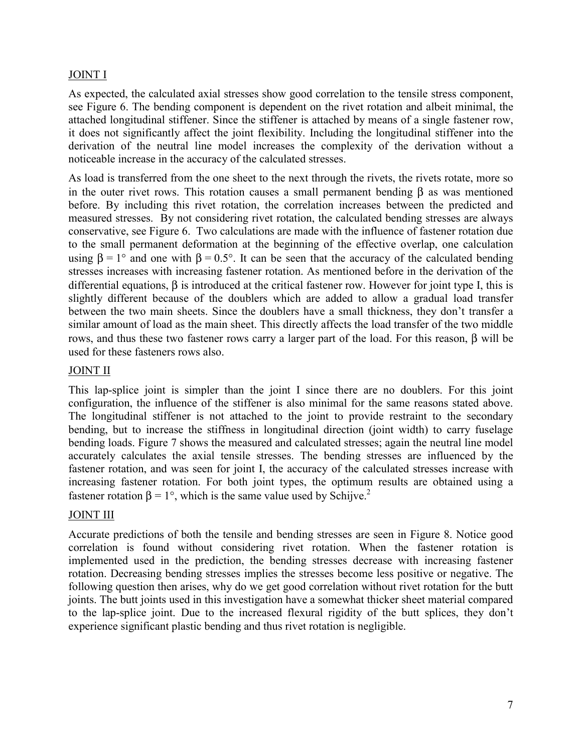# JOINT I

As expected, the calculated axial stresses show good correlation to the tensile stress component, see Figure 6. The bending component is dependent on the rivet rotation and albeit minimal, the attached longitudinal stiffener. Since the stiffener is attached by means of a single fastener row, it does not significantly affect the joint flexibility. Including the longitudinal stiffener into the derivation of the neutral line model increases the complexity of the derivation without a noticeable increase in the accuracy of the calculated stresses.

As load is transferred from the one sheet to the next through the rivets, the rivets rotate, more so in the outer rivet rows. This rotation causes a small permanent bending  $\beta$  as was mentioned before. By including this rivet rotation, the correlation increases between the predicted and measured stresses. By not considering rivet rotation, the calculated bending stresses are always conservative, see Figure 6. Two calculations are made with the influence of fastener rotation due to the small permanent deformation at the beginning of the effective overlap, one calculation using  $\beta = 1^{\circ}$  and one with  $\beta = 0.5^{\circ}$ . It can be seen that the accuracy of the calculated bending stresses increases with increasing fastener rotation. As mentioned before in the derivation of the differential equations, β is introduced at the critical fastener row. However for joint type I, this is slightly different because of the doublers which are added to allow a gradual load transfer between the two main sheets. Since the doublers have a small thickness, they don't transfer a similar amount of load as the main sheet. This directly affects the load transfer of the two middle rows, and thus these two fastener rows carry a larger part of the load. For this reason, β will be used for these fasteners rows also.

## JOINT II

This lap-splice joint is simpler than the joint I since there are no doublers. For this joint configuration, the influence of the stiffener is also minimal for the same reasons stated above. The longitudinal stiffener is not attached to the joint to provide restraint to the secondary bending, but to increase the stiffness in longitudinal direction (joint width) to carry fuselage bending loads. Figure 7 shows the measured and calculated stresses; again the neutral line model accurately calculates the axial tensile stresses. The bending stresses are influenced by the fastener rotation, and was seen for joint I, the accuracy of the calculated stresses increase with increasing fastener rotation. For both joint types, the optimum results are obtained using a fastener rotation β = 1°, which is the same value used by Schijve.<sup>2</sup>

## JOINT III

Accurate predictions of both the tensile and bending stresses are seen in Figure 8. Notice good correlation is found without considering rivet rotation. When the fastener rotation is implemented used in the prediction, the bending stresses decrease with increasing fastener rotation. Decreasing bending stresses implies the stresses become less positive or negative. The following question then arises, why do we get good correlation without rivet rotation for the butt joints. The butt joints used in this investigation have a somewhat thicker sheet material compared to the lap-splice joint. Due to the increased flexural rigidity of the butt splices, they don't experience significant plastic bending and thus rivet rotation is negligible.